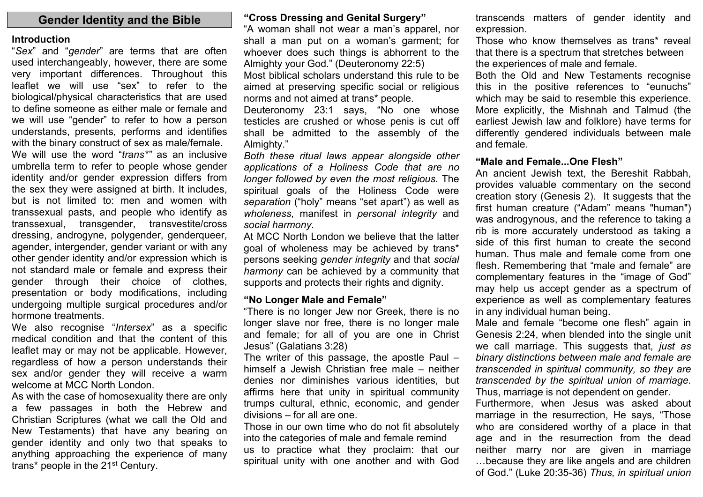## **Gender Identity and the Bible**

#### **Introduction**

"*Sex*" and "*gender*" are terms that are often used interchangeably, however, there are some very important differences. Throughout this leaflet we will use "sex" to refer to the biological/physical characteristics that are used to define someone as either male or female and we will use "gender" to refer to how a person understands, presents, performs and identifies with the binary construct of sex as male/female. We will use the word "*trans\*"* as an inclusive umbrella term to refer to people whose gender identity and/or gender expression differs from the sex they were assigned at birth. It includes, but is not limited to: men and women with transsexual pasts, and people who identify as transsexual, transgender, transvestite/cross dressing, androgyne, polygender, genderqueer, agender, intergender, gender variant or with any other gender identity and/or expression which is not standard male or female and express their gender through their choice of clothes, presentation or body modifications, including undergoing multiple surgical procedures and/or hormone treatments.

We also recognise "*Intersex*" as a specific medical condition and that the content of this leaflet may or may not be applicable. However, regardless of how a person understands their sex and/or gender they will receive a warm welcome at MCC North London.

As with the case of homosexuality there are only a few passages in both the Hebrew and Christian Scriptures (what we call the Old and New Testaments) that have any bearing on gender identity and only two that speaks to anything approaching the experience of many trans<sup>\*</sup> people in the 21<sup>st</sup> Century.

#### **"Cross Dressing and Genital Surgery"**

"A woman shall not wear a man's apparel, nor shall a man put on a woman's garment; for whoever does such things is abhorrent to the Almighty your God." (Deuteronomy 22:5)

Most biblical scholars understand this rule to be aimed at preserving specific social or religious norms and not aimed at trans\* people.

Deuteronomy 23:1 says, "No one whose testicles are crushed or whose penis is cut off shall be admitted to the assembly of the Almighty."

*Both these ritual laws appear alongside other applications of a Holiness Code that are no longer followed by even the most religious.* The spiritual goals of the Holiness Code were *separation* ("holy" means "set apart") as well as *wholeness*, manifest in *personal integrity* and *social harmony*.

At MCC North London we believe that the latter goal of wholeness may be achieved by trans\* persons seeking *gender integrity* and that *social harmony* can be achieved by a community that supports and protects their rights and dignity.

#### **"No Longer Male and Female"**

"There is no longer Jew nor Greek, there is no longer slave nor free, there is no longer male and female; for all of you are one in Christ Jesus" (Galatians 3:28)

The writer of this passage, the apostle Paul – himself a Jewish Christian free male – neither denies nor diminishes various identities, but affirms here that unity in spiritual community trumps cultural, ethnic, economic, and gender divisions – for all are one.

Those in our own time who do not fit absolutely into the categories of male and female remind us to practice what they proclaim: that our spiritual unity with one another and with God

transcends matters of gender identity and expression.

Those who know themselves as trans\* reveal that there is a spectrum that stretches between the experiences of male and female.

Both the Old and New Testaments recognise this in the positive references to "eunuchs" which may be said to resemble this experience. More explicitly, the Mishnah and Talmud (the earliest Jewish law and folklore) have terms for differently gendered individuals between male and female.

#### **"Male and Female...One Flesh"**

An ancient Jewish text, the Bereshit Rabbah, provides valuable commentary on the second creation story (Genesis 2). It suggests that the first human creature ("Adam" means "human") was androgynous, and the reference to taking a rib is more accurately understood as taking a side of this first human to create the second human. Thus male and female come from one flesh. Remembering that "male and female" are complementary features in the "image of God" may help us accept gender as a spectrum of experience as well as complementary features in any individual human being.

Male and female "become one flesh" again in Genesis 2:24, when blended into the single unit we call marriage. This suggests that, *just as binary distinctions between male and female are transcended in spiritual community, so they are transcended by the spiritual union of marriage.* Thus, marriage is not dependent on gender.

Furthermore, when Jesus was asked about marriage in the resurrection, He says, "Those who are considered worthy of a place in that age and in the resurrection from the dead neither marry nor are given in marriage …because they are like angels and are children of God." (Luke 20:35-36) *Thus, in spiritual union*